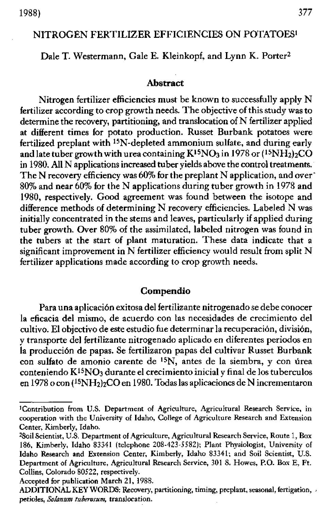# NITROGEN FERTILIZER EFFICIENCIES ON POTATOES'

Dale T. Westermann, Gale E. Kleinkopf, and Lynn K. Porter<sup>2</sup>

### **Abstract**

Nitrogen fertilizer efficiencies must be known to successfully apply N fertilizer according to crop growth needs. The objective of this study was to determine the recovery, partitioning, and translocation of N fertilizer applied at different times for potato production. Russet Burbank potatoes were fertilized preplant with 15N-depleted ammonium sulfate, and during early and late tuber growth with urea containing  $K^{15}NO_3$  in 1978 or  $(^{15}NH_2)_2CO$ in 1980. All N applications increased tuber yields above the control treatments. The N recovery efficiency *was* 60% for the preplant N application, and over - 80% and near 60% for the N applications during tuber growth in 1978 and 1980, respectively. Good agreement was found between the isotope and difference methods of determining N recovery efficiencies. Labeled N was initially concentrated in the stems and leaves, particularly if applied during tuber growth. Over 80% of the assimilated, labeled nitrogen was found in the tubers at the start of plant maturation. These data indicate that a significant improvement **in** N fertilizer efficiency would result from split N fertilizer applications made according to crop growth needs.

# **Compendia**

Para una aplicación exitosa del fertilizante nitrogenado se debe conocer la eficacia del mismo, de acuerdo con las necesidades de crecimiento del cultivo. El objectivo de este estudio fue determinar la recuperación, división, y transporte del fertilizante nitrogenado aplicado en diferentes periodos en la producción de papas. Se fertilizaron papas del cultivar Russet Burbank con sulfato de amonio carente de <sup>15</sup>N, antes de la siembra, y con úrea conteniendo  $K^{15}NO<sub>3</sub>$  durante el crecimiento inicial y final de los tuberculos en 1978 o con  $(^{15}NH_2)_{2}CO$  en 1980. Todas las aplicaciones de N incrementaron

Accepted for publication March 21, 1988.

<sup>&#</sup>x27;Contribution from U.S. Department of Agriculture, Agricultural Research Service, in cooperation with the University of Idaho, College of Agriculture Research and Extension Center, Kimberly, Idaho.

<sup>2</sup>Soil Scientist, U.S. Department of Agriculture, Agricultural Research Service, Route 1, Box 186, Kimberly, Idaho 83341 (telephone 208-423-5582); Plant Physiologist, University of Idaho Research and Extension Center, Kimberly, Idaho 83341; and Soil Scientist, U.S. Department of Agriculture, Agricultural Research Service, 301 8. Howes, P.O. Box E, Ft. Collins, Colorado 80522, respectively.

ADDITIONAL KEY WORDS: Recovery, partitioning, timing, preplant, seasonal, fertigation, petioles, *SoIanum tuheroszon,* translocation.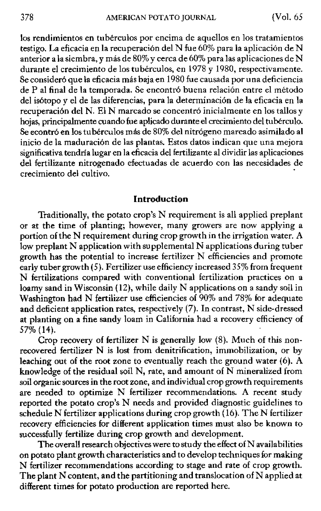los rendimientos en tuberculos por encima de aquellos en los tratamientos testigo. La eficacia en la recuperación del N fue 60% para la aplicación de N anterior a la siembra, y más de 80% y cerca de 60% para las aplicaciones de N durante el crecimiento de los tubérculos, en 1978 y 1980, respectivamente. Se consideró que la eficacia más baja en 1980 fue causada por una deficiencia de P al final de la temporada. Se encontró buena relación entre el método del isótopo y el de las diferencias, para la determinación de la eficacia en la recuperación del N. El N marcado se concentró inicialmente en los tallos y hojas, principalmente cuando fue aplicado durante el crecimiento del tuberculo. Se econtró en los tubérculos más de 80% del nitrógeno marcado asimilado al inicio de la maduración de las plantas. Estos datos indican que una mejora significativa tendría lugar en la eficacia del fertilizante al dividir las aplicaciones del fertilizante nitrogenado efectuadas de acuerdo con las necesidades de crecimiento del cultivo.

## **Introduction**

Traditionally, the potato crop's N requirement is all applied preplant or at the time of planting; however, many growers are now applying a portion of the N requirement during crop growth in the irrigation water. A low preplant N application with supplemental N applications during tuber growth has the potential to increase fertilizer N efficiencies and promote early tuber growth (5). Fertilizer use efficiency increased 35% from frequent N fertilizations compared with conventional fertilization practices on a loamy sand in Wisconsin (12), while daily N applications on a sandy soil in Washington had N fertilizer use efficiencies of 90% and 78% for adequate and deficient application rates, respectively (7). In contrast, N side-dressed at planting on a fine sandy loam in California had a recovery efficiency of 57% (14).

Crop recovery of fertilizer N is generally low (8). Much of this nonrecovered fertilizer N is lost from denitrification, immobilization, or by leaching out of the root zone to eventually reach the ground water (6). A knowledge of the residual soil N, rate, and amount of N mineralized from soil organic sources in the root zone, and individual crop growth requirements are needed to optimize N fertilizer recommendations. A recent study reported the potato crop's N needs and provided diagnostic guidelines to schedule N fertilizer applications during crop growth (16). The N fertilizer recovery efficiencies for different application times must also be known to successfully fertilize during crop growth and development.

The overall research objectives were to study the effect of N availabilities on potato plant growth characteristics and to develop techniques for making N fertilizer recommendations according to stage and rate of crop growth. The plant N content, and the partitioning and translocation of N applied at different times for potato production are reported here.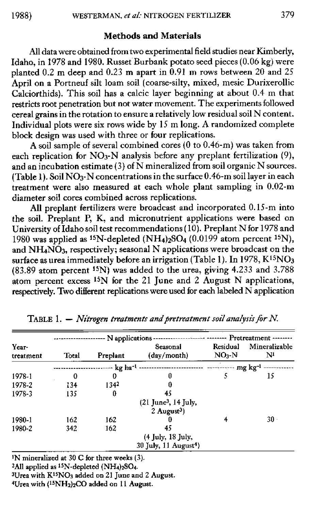## **Methods and Materials**

All data were obtained from two experimental field studies near Kimberly, Idaho, in 1978 and 1980. Russet Burbank potato seed pieces (0.06 kg) were planted 0.2 m deep and 0.23 m apart in 0.91 m rows between 20 and 25 April on a Portneuf silt loam soil (coarse-silty, mixed, mesic Durixerollic Calciorthids). This soil has a calcic layer beginning at about 0.4 m that restricts root penetration but not water movement. The experiments followed cereal grains in the rotation to ensure a relatively low residual soil N content. Individual plots were six rows wide by 15 m long. A randomized complete block design was used with three or four replications.

A soil sample of several combined cores (0 to 0.46-m) was taken from each replication for NO<sub>3</sub>-N analysis before any preplant fertilization (9), and an incubation estimate (3) of N mineralized from soil organic N sources. (Table 1). Soil  $NO<sub>3</sub>-N$  concentrations in the surface 0.46-m soil layer in each treatment were also measured at each whole plant sampling in 0.02-m diameter soil cores combined across replications.

All preplant fertilizers were broadcast and incorporated 0.15-m into the soil. Preplant P, K, and micronutrient applications were based on University of Idaho soil test recommendations (10). Preplant N for 1978 and 1980 was applied as <sup>15</sup>N-depleted (NH<sub>4</sub>)<sub>2</sub>SO<sub>4</sub> (0.0199 atom percent <sup>15</sup>N). and NH<sub>4</sub>NO<sub>3</sub>, respectively; seasonal N applications were broadcast on the surface as urea immediately before an irrigation (Table 1). In 1978,  $K^{15}NO<sub>3</sub>$ (83.89 atom percent 15N) was added to the urea, giving 4.233 and 3.788 atom percent excess 15N for the 21 June and 2 August N applications, respectively. Two different replications were used for each labeled N application

| Year-<br>treatment |       | -- N applications -                                             | Pretreatment -------                                           |                               |                                            |  |  |
|--------------------|-------|-----------------------------------------------------------------|----------------------------------------------------------------|-------------------------------|--------------------------------------------|--|--|
|                    | Total | Preplant                                                        | Seasonal<br>(day/month)                                        | Residual<br>NO <sub>i</sub> N | Mineralizable<br>$\mathbf{N}^{\mathbf{I}}$ |  |  |
|                    |       | -- kg ha <sup>-1</sup>                                          |                                                                |                               |                                            |  |  |
| 1978-1             | 0     | 0                                                               | 0                                                              | 5                             | 15                                         |  |  |
| 1978-2             | 134   | 1342                                                            | 0                                                              |                               |                                            |  |  |
| 1978-3             | 135   | Û                                                               | 45                                                             |                               |                                            |  |  |
|                    |       | $(21$ June <sup>3</sup> , 14 July,<br>$2$ August <sup>3</sup> ) |                                                                |                               |                                            |  |  |
| 1980-1             | 162   | 162                                                             | 0                                                              |                               | $30 -$                                     |  |  |
| 1980-2             | 342   | 162                                                             | 45<br>(4 July, 18 July,<br>$30$ July, 11 August <sup>4</sup> ) |                               |                                            |  |  |

TABLE 1. — *Nitrogen treatments and pretreatment soil analysis fir N.*

<sup>1</sup>N mineralized at 30 C for three weeks (3).

 $2$ All applied as  $15N$ -depleted  $(NH<sub>4</sub>)<sub>2</sub>SO<sub>4</sub>$ .

 $3U$ rea with  $K^{15}NO_3$  added on 21 June and 2 August.

<sup>4</sup>Urea with (<sup>15</sup>NH<sub>2</sub>)<sub>2</sub>CO added on 11 August.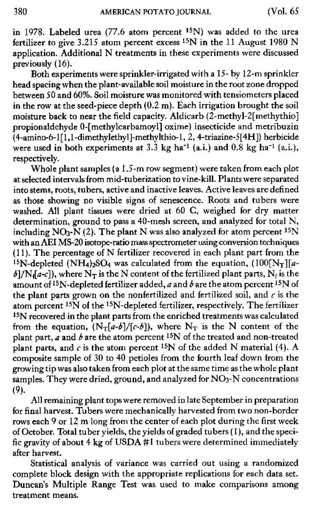in 1978. Labeled urea (77.6 atom percent 15N) was added to the urea fertilizer to give 3.215 atom percent excess 15N in the 11 August 1980 N application. Additional N treatments in these experiments were discussed previously (16).

Both experiments were sprinkler-irrigated with a 15- by 12-m sprinkler head spacing when the plant-available soil moisture in the root zone dropped between SO and 60%. Soil moisture was monitored with tensiometers placed in the row at the seed-piece depth (0.2 m). Each irrigation brought the soil moisture back to near the field capacity. Aldicarb (2-methyl-2[methythio] propionaldehyde 0-[methylcarbamoyl] oxime) insecticide and metribuzin (4-amino-6-1[1,1-dimethylethyl]-methylthio-1, 2, 4-triazine-5[4H]) herbicide were used in both experiments at  $3.3$  kg ha<sup>-1</sup> (a.i.) and  $0.8$  kg ha<sup>-1</sup> (a.i.), respectively.

Whole plant samples *(a* 1.5-m row segment) were taken from each plot at selected intervals from mid-tuberization to vine-kill. Plants were separated into stems, roots, tubers, active and inactive leaves. Active leaves are defined as those showing no visible signs of senescence. Roots and tubers were washed. All plant tissues were dried at 60 C, weighed for dry matter determination, ground to pass a 40-mesh screen, and analyzed for total N, including  $NO<sub>3</sub>$ -N (2). The plant N was also analyzed for atom percent <sup>15</sup>N with an AEI MS-20 isotope-ratio mass spectrometer using conversion techniques (11). The percentage of N fertilizer recovered in each plant part from the <sup>15</sup>N-depleted (NH<sub>4</sub>)<sub>2</sub>SO<sub>4</sub> was calculated from the equation,  $(100[N<sub>T</sub>][a$  $b$ ]/Nf $[a-c]$ , where  $N_T$  is the N content of the fertilized plant parts,  $N_f$  is the amount of 15N-depleted fertilizer added, *a* and *b* are the atom percent 15N of the plant parts grown on the nonfertilized and fertilized soil, and *c* is the atom percent <sup>15</sup>N of the <sup>15</sup>N-depleted fertilizer, respectively. The fertilizer 15N recovered in the plant parts from the enriched treatments was calculated from the equation,  $(N_T[a-b]/[c-b])$ , where  $N_T$  is the N content of the plant part, *a* and *b are* the atom percent 15N of the treated and non-treated plant parts, and  $c$  is the atom percent <sup>15</sup>N of the added N material (4). A composite sample of 30 to 40 petioles from the fourth leaf down from the growing tip was also taken from each plot at the same time as the whole plant samples. They were dried, ground, and analyzed for  $NO<sub>3</sub>$ -N concentrations  $(9)$ .

All remaining plant tops were removed in late September in preparation for final harvest. Tubers were mechanically harvested from two non-border rows each 9 or 12 m long from the center of each plot during the first week of October. Total tuber yields, the yields of graded tubers (1), and the specific gravity of about 4 kg of USDA #1 tubers were determined immediately after harvest.

Statistical analysis of variance was carried out using a randomized complete block design with the appropriate replications for each data set. Duncan's Multiple Range Test was used to make comparisons among treatment means.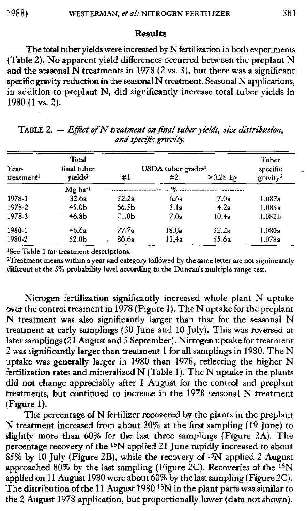## **Results**

The total tuber yields were increased by N fertilization in both experiments (Table 2). No apparent yield differences occurred between the preplant N and the seasonal  $N$  treatments in 1978 (2 vs. 3), but there was a significant specific gravity reduction in the seasonal N treatment. Seasonal N applications, in addition to preplant N, did significantly increase total tuber yields in 1980 (1 vs. 2).

| Year-                  | Total<br>final tuber | USDA tuber grades <sup>2</sup> |       |            | Tuber<br>specific    |
|------------------------|----------------------|--------------------------------|-------|------------|----------------------|
| treatment <sup>1</sup> | vields <sup>2</sup>  | #1                             | #2    | $>0.28$ kg | gravity <sup>2</sup> |
|                        | Mg ha <sup>-1</sup>  |                                | %.    |            |                      |
| 1978-1                 | 32.6a                | 52.2a                          | 6.6a  | 7.0a       | 1.087a               |
| 1978-2                 | 45.0b                | 66.5b                          | 3.1a  | 4.2a       | 1.085a               |
| 1978-3                 | 46.8 <sub>b</sub>    | 71.0b                          | 7.0a  | 10.4a      | 1.082 <sub>b</sub>   |
| 1980-1                 | 46.6a                | 77.7a                          | 18.0a | 52.2a      | 1.080a               |
| 1980-2                 | 52.0Ь                | 80.6a                          | 13.4a | 55.6a      | 1.078a               |

TABLE 2. - *Effect of N treatment on final tuber yields, size distribution, and specific gravity.*

'See Table 1 for treatment descriptions.

<sup>2</sup>Treatment means within a year and category followed by the same letter are not significantly different at the 5% probability level according to the Duncan's multiple range test.

Nitrogen fertilization significantly increased whole plant N uptake over the control treament **in** 1978 (Figure 1). The N uptake for the preplant N treatment was also significantly larger than that for the seasonal N treatment at early samplings (30 June and 10 July). This was reversed at later samplings (21 August and 5 September). Nitrogen uptake for treatment 2 was significantly larger than treatment 1 for all samplings in 1980. The N uptake was generally larger in 1980 than 1978, reflecting the higher N fertilization rates and mineralized N (Table 1). The N uptake in the plants did not change appreciably after 1 August for the control and preplant treatments, but continued to increase in the 1978 seasonal N treatment (Figure 1).

The percentage of N fertilizer recovered by the plants in the preplant N treatment increased from about 30% at the first sampling (19 June) to slightly more than 60% for the last three samplings (Figure 2A). The percentage recovery of the 15N applied 21 June rapidly increased to about 85% by 10 July (Figure 2B), while the recovery of 15N applied 2 August approached 80% by the last sampling (Figure 2C). Recoveries of the  $^{15}N$ applied on 11 August 1980 were about 60% by the last sampling (Figure 2C). The distribution of the 11 August 1980 15N in the plant parts was similar to the 2 August 1978 application, but proportionally lower (data not shown).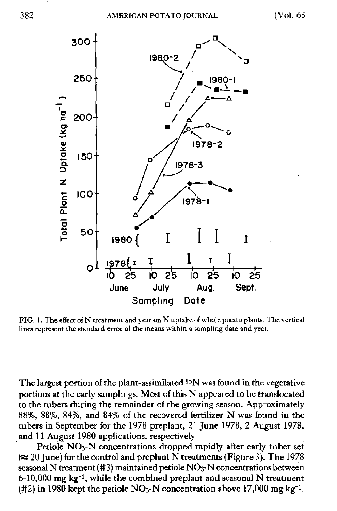

FIG. 1. The effect of N treatment and year on N uptake of whole potato plants. The vertical lines represent the standard error of the means within a sampling date and year.

The largest portion of the plant-assimilated 15N was found in the vegetative portions at the early samplings. Most of this N appeared to be translocated to the tubers during the remainder of the growing season. Approximately 88%, 88%, 84%, and 84% of the recovered fertilizer N was found in the tubers in September for the 1978 preplant, 21 June 1978, 2 August 1978, and 11 August 1980 applications, respectively.

Petiole NO<sub>3</sub>-N concentrations dropped rapidly after early tuber set  $\approx$  20 June) for the control and preplant N treatments (Figure 3). The 1978 seasonal N treatment (#3) maintained petiole NO3-N concentrations between  $6-10,000$  mg kg<sup>-1</sup>, while the combined preplant and seasonal N treatment (#2) in 1980 kept the petiole NO<sub>3</sub>-N concentration above 17,000 mg kg<sup>-1</sup>.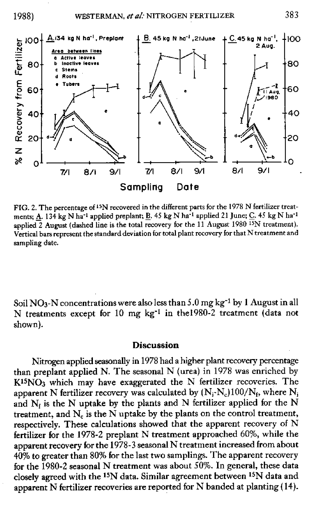

FIG. 2. The percentage of 15N recovered in the different parts for the 1978 N fertilizer treatments;  $\underline{A}$ . 134 kg N ha<sup>-1</sup> applied preplant;  $\underline{B}$ . 45 kg N ha<sup>-1</sup> applied 21 June;  $\underline{C}$ . 45 kg N ha<sup>-1</sup> applied  $\overline{2}$  August (dashed line is the total recovery for the 11 August 1980  $\overline{^{15}}N$  treatment). Vertical bars represent the standard deviation for total plant recovery for that N treatment and sampling date.

Soil NO<sub>3</sub>-N concentrations were also less than  $5.0$  mg kg<sup>-1</sup> by 1 August in all N treatments except for 10 mg  $kg^{-1}$  in the1980-2 treatment (data not shown).

### **Discussion**

Nitrogen applied seasonally in 1978 had a higher plant recovery percentage than preplant applied N. The seasonal N (urea) in 1978 was enriched by  $K^{15}NO<sub>3</sub>$  which may have exaggerated the N fertilizer recoveries. The apparent N fertilizer recovery was calculated by  $(N_i-N_c)100/N_f$ , where  $N_i$ and  $N<sub>i</sub>$  is the N uptake by the plants and N fertilizer applied for the N treatment, and  $N_c$  is the N uptake by the plants on the control treatment, respectively. These calculations showed that the apparent recovery of N fertilizer for the 1978-2 preplant N treatment approached 60%, while the apparent recovery for the 1978-3 seasonal N treatment increased from about 40% to greater than 80% for the last two samplings. The apparent recovery for the 1980-2 seasonal N treatment was about 50%. In general, these data closely agreed with the 15N data. Similar agreement between 15N data and apparent N fertilizer recoveries are reported for N banded at planting (14).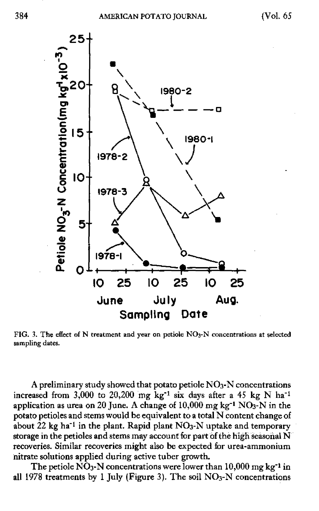

FIG. 3. The effect of N treatment and year on petiole **NOa**-N concentrations at selected sampling dates.

A preliminary study showed that potato petiole  $NO<sub>3</sub>-N$  concentrations increased from 3,000 to 20,200 mg kg<sup>-1</sup> six days after a 45 kg N ha<sup>-1</sup> application as urea on 20 June. A change of  $10,000$  mg kg<sup>-1</sup> NO<sub>3</sub>-N in the potato petioles and stems would be equivalent to a total N content change of about  $22$  kg ha<sup>-1</sup> in the plant. Rapid plant  $NO<sub>3</sub>-N$  uptake and temporary storage in the petioles and stems may account for part of the high seasonal N recoveries. Similar recoveries might also be expected for urea-ammonium nitrate solutions applied during active tuber growth.

The petiole  $\overline{NO}_3$ -N concentrations were lower than 10,000 mg kg<sup>-1</sup> in all 1978 treatments by 1 July (Figure 3). The soil  $NO<sub>3</sub>-N$  concentrations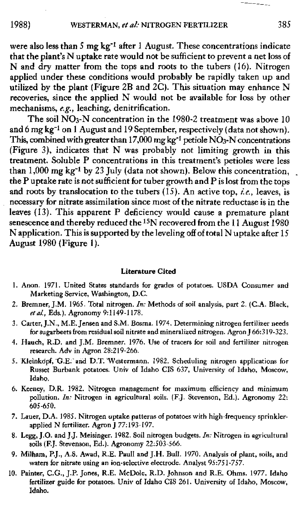were also less than 5 mg kg<sup>-1</sup> after 1 August. These concentrations indicate that the plant's N uptake rate would not be sufficient to prevent a net loss of N and dry matter from the tops and roots to the tubers (16). Nitrogen applied under these conditions would probably be rapidly taken up and utilized by the plant (Figure 2B and 2C). This situation may enhance N recoveries, since the applied N would not be available for loss by other mechanisms, e.g., leaching, denitrification.

The soil  $\overline{NO_3-N}$  concentration in the 1980-2 treatment was above 10 and 6 mg kg<sup>-1</sup> on 1 August and 19 September, respectively (data not shown). This, combined with greater than 17,000 mg kg<sup>-1</sup> petiole  $N\ddot{O}_3$ -N concentrations (Figure 3), indicates that N was probably not limiting growth in this treatment. Soluble P concentrations in this treatment's petioles were less than  $1,000$  mg kg<sup>-1</sup> by 23 July (data not shown). Below this concentration, the P uptake rate is not sufficient for tuber growth and P is lost from the tops and roots by translocation to the tubers (15). An active top, *ie.,* leaves, is necessary for nitrate assimilation since most of the nitrate reductase is in the leaves (13). This apparent P deficiency would cause *a* premature plant senescence and thereby reduced the <sup>15</sup>N recovered from the 11 August 1980 N application. This is supported by the leveling off of total N uptake after 15 August 1980 (Figure 1).

### **Literature Cited**

- 1. Anon. 1971. United States standards for grades of potatoes. USDA Consumer and Marketing Service, Washington, D.C.
- 2. Bremner, J.M. 1965. Total nitrogen. *In:* Methods of soil analysis, part 2. (C.A. Black, *et al.,* Eds.). Agronomy 9:1149-1178.
- 3. Carter, J.N., **M.E.** Jensen and S.M. Bosnia. 1974. Determining nitrogen fertilizer needs for sugarbeets from residual soil nitrate and mineralized nitrogen. Agron J 66:319-323.
- 4. Hauch, R.D. and J.M. Bremner. 1976. Use of tracers for soil and fertilizer nitrogen research. Adv in Agron 28:219-266.
- 5. Kleinkopf, G.E. and D.T. Vestermann. 1982. Scheduling nitrogen applications for Russet Burbank potatoes. Univ of Idaho CIS 637, University of Idaho, Moscow, Idaho,
- 6. Keeney, D.R. 1982. Nitrogen management for maximum efficiency and minimum pollution. *In:* Nitrogen in agricultural soils. (F.J. Stevenson, Ed.). Agronomy 22: 605-650.
- 7. Lauer, D.A. 1985. Nitrogen uptake patterns of potatoes with high-frequency sprinklerapplied N fertilizer. Agron J 77:193-197.
- 8, Legg, J.O. and J.J. Meisinger. 1982. Soil nitrogen budgets. *In:* Nitrogen in agricultural soils (F.J. Stevenson, Ed.). Agronomy 22:503-566.
- 9. Milham, P.J., A.S. Awad, R.E. Paull and J.H. Bull. 1970. Analysis of plant, soils, and waters for nitrate using an ion-selective electrode. Analyst 95:751-757.
- 10. Painter, C.G., J.P. Jones, R.E. McDole, R.D. Johnson and R.E. Ohms. 1977. Idaho fertilizer guide for potatoes. Univ of Idaho CIS 261. University of Idaho, Moscow, Idaho.